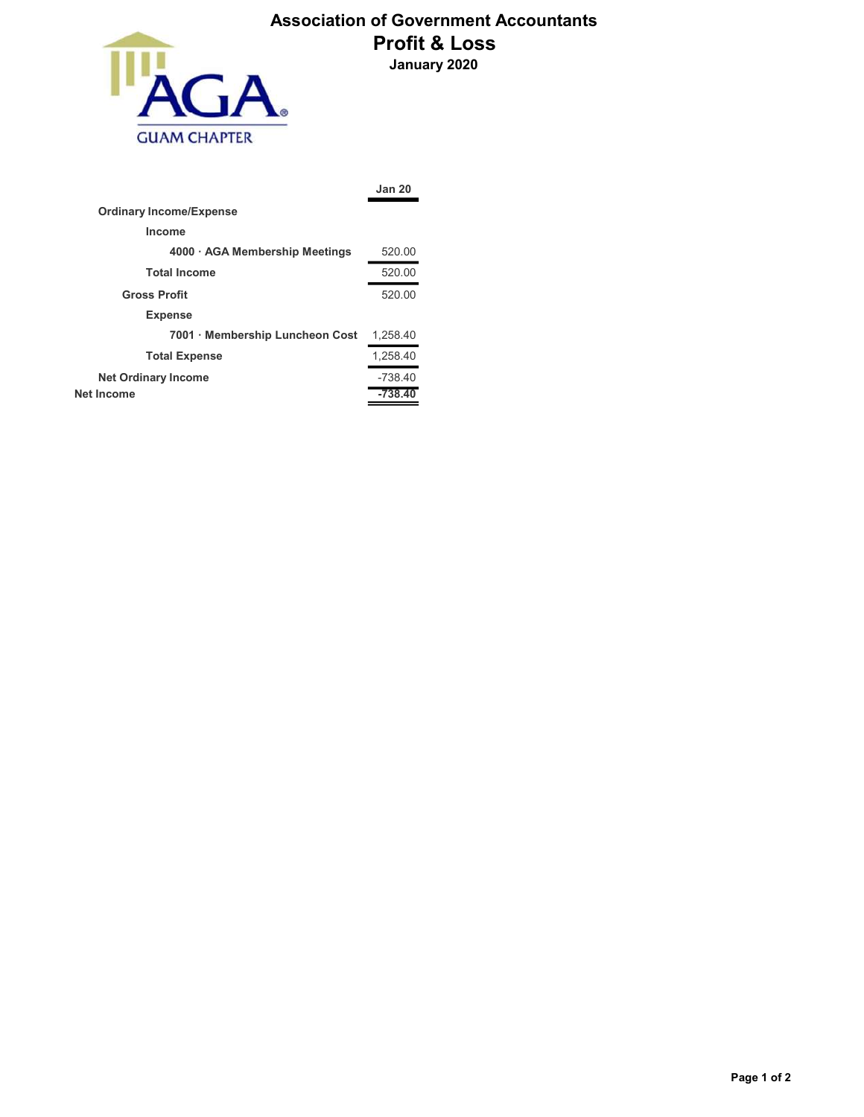

## Association of Government Accountants Profit & Loss January 2020

|                                 | <b>Jan 20</b> |
|---------------------------------|---------------|
| <b>Ordinary Income/Expense</b>  |               |
| Income                          |               |
| 4000 · AGA Membership Meetings  | 520.00        |
| <b>Total Income</b>             | 520.00        |
| <b>Gross Profit</b>             | 520.00        |
| <b>Expense</b>                  |               |
| 7001 · Membership Luncheon Cost | 1,258.40      |
| <b>Total Expense</b>            | 1,258.40      |
| <b>Net Ordinary Income</b>      | $-738.40$     |
| <b>Net Income</b>               | $-738.40$     |